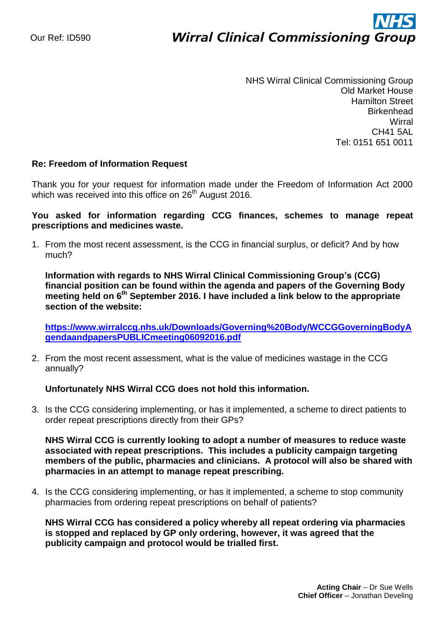# ì **Wirral Clinical Commissioning Group**

NHS Wirral Clinical Commissioning Group Old Market House Hamilton Street **Birkenhead Wirral** CH41 5AL Tel: 0151 651 0011

## **Re: Freedom of Information Request**

Thank you for your request for information made under the Freedom of Information Act 2000 which was received into this office on 26<sup>th</sup> August 2016.

# **You asked for information regarding CCG finances, schemes to manage repeat prescriptions and medicines waste.**

1. From the most recent assessment, is the CCG in financial surplus, or deficit? And by how much?

**Information with regards to NHS Wirral Clinical Commissioning Group's (CCG) financial position can be found within the agenda and papers of the Governing Body meeting held on 6th September 2016. I have included a link below to the appropriate section of the website:**

**[https://www.wirralccg.nhs.uk/Downloads/Governing%20Body/WCCGGoverningBodyA](https://www.wirralccg.nhs.uk/Downloads/Governing%20Body/WCCGGoverningBodyAgendaandpapersPUBLICmeeting06092016.pdf) [gendaandpapersPUBLICmeeting06092016.pdf](https://www.wirralccg.nhs.uk/Downloads/Governing%20Body/WCCGGoverningBodyAgendaandpapersPUBLICmeeting06092016.pdf)**

2. From the most recent assessment, what is the value of medicines wastage in the CCG annually?

#### **Unfortunately NHS Wirral CCG does not hold this information.**

3. Is the CCG considering implementing, or has it implemented, a scheme to direct patients to order repeat prescriptions directly from their GPs?

**NHS Wirral CCG is currently looking to adopt a number of measures to reduce waste associated with repeat prescriptions. This includes a publicity campaign targeting members of the public, pharmacies and clinicians. A protocol will also be shared with pharmacies in an attempt to manage repeat prescribing.**

4. Is the CCG considering implementing, or has it implemented, a scheme to stop community pharmacies from ordering repeat prescriptions on behalf of patients?

**NHS Wirral CCG has considered a policy whereby all repeat ordering via pharmacies is stopped and replaced by GP only ordering, however, it was agreed that the publicity campaign and protocol would be trialled first.**